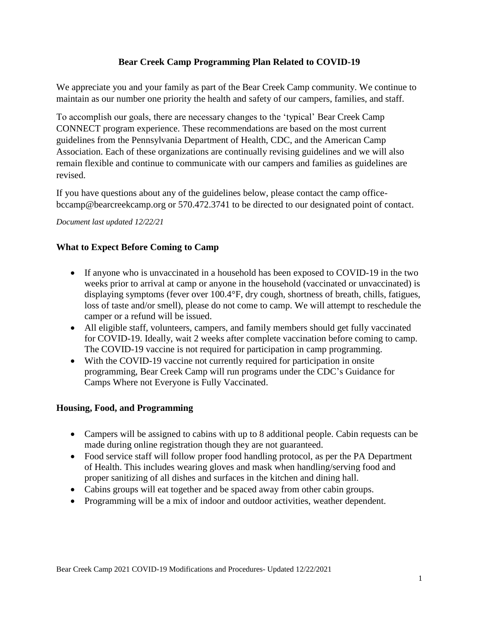## **Bear Creek Camp Programming Plan Related to COVID-19**

We appreciate you and your family as part of the Bear Creek Camp community. We continue to maintain as our number one priority the health and safety of our campers, families, and staff.

To accomplish our goals, there are necessary changes to the 'typical' Bear Creek Camp CONNECT program experience. These recommendations are based on the most current guidelines from the Pennsylvania Department of Health, CDC, and the American Camp Association. Each of these organizations are continually revising guidelines and we will also remain flexible and continue to communicate with our campers and families as guidelines are revised.

If you have questions about any of the guidelines below, please contact the camp officebccamp@bearcreekcamp.org or 570.472.3741 to be directed to our designated point of contact.

#### *Document last updated 12/22/21*

## **What to Expect Before Coming to Camp**

- If anyone who is unvaccinated in a household has been exposed to COVID-19 in the two weeks prior to arrival at camp or anyone in the household (vaccinated or unvaccinated) is displaying symptoms (fever over 100.4°F, dry cough, shortness of breath, chills, fatigues, loss of taste and/or smell), please do not come to camp. We will attempt to reschedule the camper or a refund will be issued.
- All eligible staff, volunteers, campers, and family members should get fully vaccinated for COVID-19. Ideally, wait 2 weeks after complete vaccination before coming to camp. The COVID-19 vaccine is not required for participation in camp programming.
- With the COVID-19 vaccine not currently required for participation in onsite programming, Bear Creek Camp will run programs under the CDC's Guidance for Camps Where not Everyone is Fully Vaccinated.

### **Housing, Food, and Programming**

- Campers will be assigned to cabins with up to 8 additional people. Cabin requests can be made during online registration though they are not guaranteed.
- Food service staff will follow proper food handling protocol, as per the PA Department of Health. This includes wearing gloves and mask when handling/serving food and proper sanitizing of all dishes and surfaces in the kitchen and dining hall.
- Cabins groups will eat together and be spaced away from other cabin groups.
- Programming will be a mix of indoor and outdoor activities, weather dependent.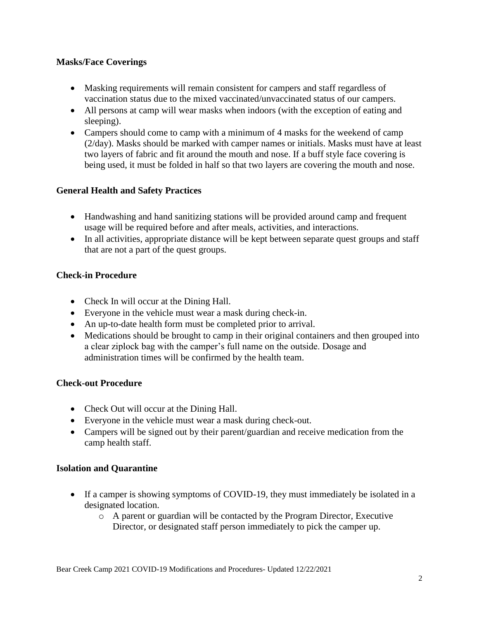### **Masks/Face Coverings**

- Masking requirements will remain consistent for campers and staff regardless of vaccination status due to the mixed vaccinated/unvaccinated status of our campers.
- All persons at camp will wear masks when indoors (with the exception of eating and sleeping).
- Campers should come to camp with a minimum of 4 masks for the weekend of camp (2/day). Masks should be marked with camper names or initials. Masks must have at least two layers of fabric and fit around the mouth and nose. If a buff style face covering is being used, it must be folded in half so that two layers are covering the mouth and nose.

# **General Health and Safety Practices**

- Handwashing and hand sanitizing stations will be provided around camp and frequent usage will be required before and after meals, activities, and interactions.
- In all activities, appropriate distance will be kept between separate quest groups and staff that are not a part of the quest groups.

## **Check-in Procedure**

- Check In will occur at the Dining Hall.
- Everyone in the vehicle must wear a mask during check-in.
- An up-to-date health form must be completed prior to arrival.
- Medications should be brought to camp in their original containers and then grouped into a clear ziplock bag with the camper's full name on the outside. Dosage and administration times will be confirmed by the health team.

### **Check-out Procedure**

- Check Out will occur at the Dining Hall.
- Everyone in the vehicle must wear a mask during check-out.
- Campers will be signed out by their parent/guardian and receive medication from the camp health staff.

### **Isolation and Quarantine**

- If a camper is showing symptoms of COVID-19, they must immediately be isolated in a designated location.
	- o A parent or guardian will be contacted by the Program Director, Executive Director, or designated staff person immediately to pick the camper up.